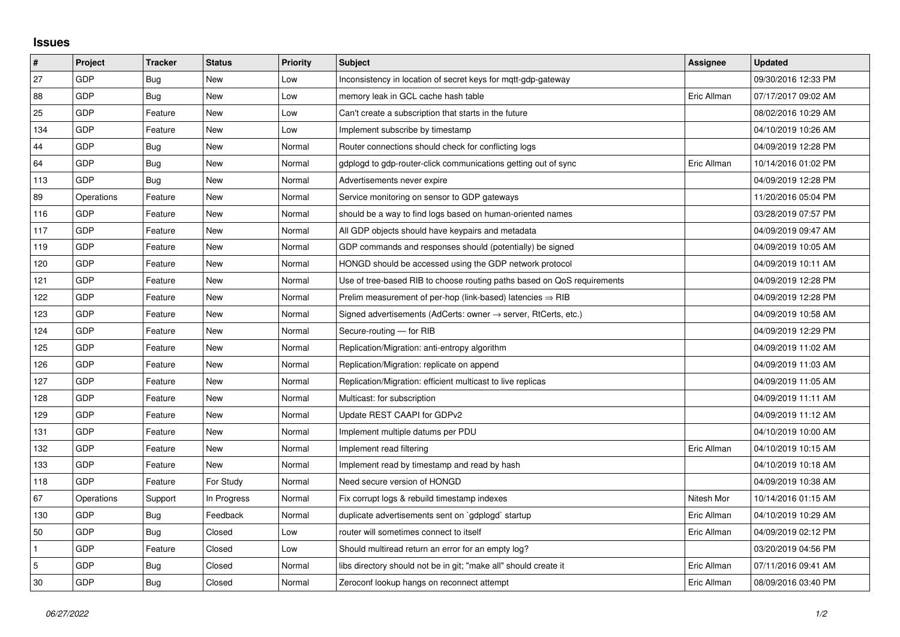## **Issues**

| #   | Project    | <b>Tracker</b> | <b>Status</b> | <b>Priority</b> | <b>Subject</b>                                                          | Assignee    | <b>Updated</b>      |
|-----|------------|----------------|---------------|-----------------|-------------------------------------------------------------------------|-------------|---------------------|
| 27  | GDP        | Bug            | <b>New</b>    | Low             | Inconsistency in location of secret keys for mgtt-gdp-gateway           |             | 09/30/2016 12:33 PM |
| 88  | GDP        | Bug            | New           | Low             | memory leak in GCL cache hash table                                     | Eric Allman | 07/17/2017 09:02 AM |
| 25  | GDP        | Feature        | New           | Low             | Can't create a subscription that starts in the future                   |             | 08/02/2016 10:29 AM |
| 134 | GDP        | Feature        | <b>New</b>    | Low             | Implement subscribe by timestamp                                        |             | 04/10/2019 10:26 AM |
| 44  | GDP        | Bug            | New           | Normal          | Router connections should check for conflicting logs                    |             | 04/09/2019 12:28 PM |
| 64  | GDP        | <b>Bug</b>     | New           | Normal          | gdplogd to gdp-router-click communications getting out of sync          | Eric Allman | 10/14/2016 01:02 PM |
| 113 | GDP        | <b>Bug</b>     | <b>New</b>    | Normal          | Advertisements never expire                                             |             | 04/09/2019 12:28 PM |
| 89  | Operations | Feature        | New           | Normal          | Service monitoring on sensor to GDP gateways                            |             | 11/20/2016 05:04 PM |
| 116 | GDP        | Feature        | <b>New</b>    | Normal          | should be a way to find logs based on human-oriented names              |             | 03/28/2019 07:57 PM |
| 117 | GDP        | Feature        | New           | Normal          | All GDP objects should have keypairs and metadata                       |             | 04/09/2019 09:47 AM |
| 119 | GDP        | Feature        | New           | Normal          | GDP commands and responses should (potentially) be signed               |             | 04/09/2019 10:05 AM |
| 120 | GDP        | Feature        | New           | Normal          | HONGD should be accessed using the GDP network protocol                 |             | 04/09/2019 10:11 AM |
| 121 | GDP        | Feature        | New           | Normal          | Use of tree-based RIB to choose routing paths based on QoS requirements |             | 04/09/2019 12:28 PM |
| 122 | GDP        | Feature        | New           | Normal          | Prelim measurement of per-hop (link-based) latencies $\Rightarrow$ RIB  |             | 04/09/2019 12:28 PM |
| 123 | GDP        | Feature        | <b>New</b>    | Normal          | Signed advertisements (AdCerts: owner → server, RtCerts, etc.)          |             | 04/09/2019 10:58 AM |
| 124 | GDP        | Feature        | New           | Normal          | Secure-routing - for RIB                                                |             | 04/09/2019 12:29 PM |
| 125 | GDP        | Feature        | New           | Normal          | Replication/Migration: anti-entropy algorithm                           |             | 04/09/2019 11:02 AM |
| 126 | GDP        | Feature        | New           | Normal          | Replication/Migration: replicate on append                              |             | 04/09/2019 11:03 AM |
| 127 | GDP        | Feature        | New           | Normal          | Replication/Migration: efficient multicast to live replicas             |             | 04/09/2019 11:05 AM |
| 128 | GDP        | Feature        | New           | Normal          | Multicast: for subscription                                             |             | 04/09/2019 11:11 AM |
| 129 | GDP        | Feature        | New           | Normal          | Update REST CAAPI for GDPv2                                             |             | 04/09/2019 11:12 AM |
| 131 | GDP        | Feature        | New           | Normal          | Implement multiple datums per PDU                                       |             | 04/10/2019 10:00 AM |
| 132 | GDP        | Feature        | <b>New</b>    | Normal          | Implement read filtering                                                | Eric Allman | 04/10/2019 10:15 AM |
| 133 | GDP        | Feature        | New           | Normal          | Implement read by timestamp and read by hash                            |             | 04/10/2019 10:18 AM |
| 118 | GDP        | Feature        | For Study     | Normal          | Need secure version of HONGD                                            |             | 04/09/2019 10:38 AM |
| 67  | Operations | Support        | In Progress   | Normal          | Fix corrupt logs & rebuild timestamp indexes                            | Nitesh Mor  | 10/14/2016 01:15 AM |
| 130 | GDP        | Bug            | Feedback      | Normal          | duplicate advertisements sent on `gdplogd` startup                      | Eric Allman | 04/10/2019 10:29 AM |
| 50  | GDP        | <b>Bug</b>     | Closed        | Low             | router will sometimes connect to itself                                 | Eric Allman | 04/09/2019 02:12 PM |
|     | GDP        | Feature        | Closed        | Low             | Should multiread return an error for an empty log?                      |             | 03/20/2019 04:56 PM |
| 5   | GDP        | Bug            | Closed        | Normal          | libs directory should not be in git; "make all" should create it        | Eric Allman | 07/11/2016 09:41 AM |
| 30  | GDP        | <b>Bug</b>     | Closed        | Normal          | Zeroconf lookup hangs on reconnect attempt                              | Eric Allman | 08/09/2016 03:40 PM |